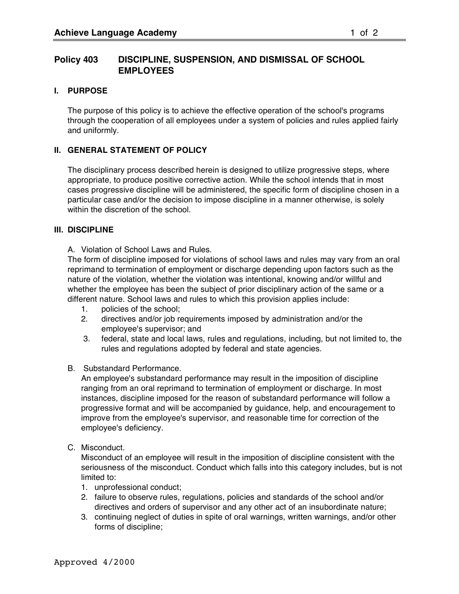# **Policy 403 DISCIPLINE, SUSPENSION, AND DISMISSAL OF SCHOOL EMPLOYEES**

### **I. PURPOSE**

The purpose of this policy is to achieve the effective operation of the school's programs through the cooperation of all employees under a system of policies and rules applied fairly and uniformly.

#### **II. GENERAL STATEMENT OF POLICY**

The disciplinary process described herein is designed to utilize progressive steps, where appropriate, to produce positive corrective action. While the school intends that in most cases progressive discipline will be administered, the specific form of discipline chosen in a particular case and/or the decision to impose discipline in a manner otherwise, is solely within the discretion of the school.

#### **III. DISCIPLINE**

A. Violation of School Laws and Rules.

The form of discipline imposed for violations of school laws and rules may vary from an oral reprimand to termination of employment or discharge depending upon factors such as the nature of the violation, whether the violation was intentional, knowing and/or willful and whether the employee has been the subject of prior disciplinary action of the same or a different nature. School laws and rules to which this provision applies include:

- 1. policies of the school;
- 2. directives and/or job requirements imposed by administration and/or the employee's supervisor; and
- 3. federal, state and local laws, rules and regulations, including, but not limited to, the rules and regulations adopted by federal and state agencies.
- B. Substandard Performance.

An employee's substandard performance may result in the imposition of discipline ranging from an oral reprimand to termination of employment or discharge. In most instances, discipline imposed for the reason of substandard performance will follow a progressive format and will be accompanied by guidance, help, and encouragement to improve from the employee's supervisor, and reasonable time for correction of the employee's deficiency.

C. Misconduct.

Misconduct of an employee will result in the imposition of discipline consistent with the seriousness of the misconduct. Conduct which falls into this category includes, but is not limited to:

- 1. unprofessional conduct;
- 2. failure to observe rules, regulations, policies and standards of the school and/or directives and orders of supervisor and any other act of an insubordinate nature;
- 3. continuing neglect of duties in spite of oral warnings, written warnings, and/or other forms of discipline;